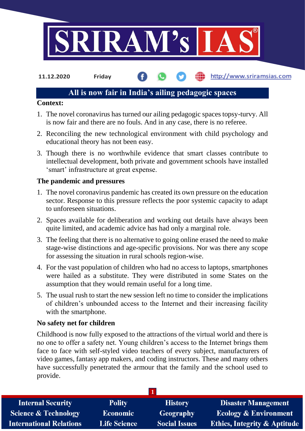

**11.12.2020 Friday**

# http://www.sriramsias.com

# **All is now fair in India's ailing pedagogic spaces**

### **Context:**

- 1. The novel coronavirus has turned our ailing pedagogic spaces topsy-turvy. All is now fair and there are no fouls. And in any case, there is no referee.
- 2. Reconciling the new technological environment with child psychology and educational theory has not been easy.
- 3. Though there is no worthwhile evidence that smart classes contribute to intellectual development, both private and government schools have installed 'smart' infrastructure at great expense.

### **The pandemic and pressures**

- 1. The novel coronavirus pandemic has created its own pressure on the education sector. Response to this pressure reflects the poor systemic capacity to adapt to unforeseen situations.
- 2. Spaces available for deliberation and working out details have always been quite limited, and academic advice has had only a marginal role.
- 3. The feeling that there is no alternative to going online erased the need to make stage-wise distinctions and age-specific provisions. Nor was there any scope for assessing the situation in rural schools region-wise.
- 4. For the vast population of children who had no access to laptops, smartphones were hailed as a substitute. They were distributed in some States on the assumption that they would remain useful for a long time.
- 5. The usual rush to start the new session left no time to consider the implications of children's unbounded access to the Internet and their increasing facility with the smartphone.

# **No safety net for children**

Childhood is now fully exposed to the attractions of the virtual world and there is no one to offer a safety net. Young children's access to the Internet brings them face to face with self-styled video teachers of every subject, manufacturers of video games, fantasy app makers, and coding instructors. These and many others have successfully penetrated the armour that the family and the school used to provide.

| <b>Internal Security</b>        | <b>Polity</b>       | <b>History</b>       | <b>Disaster Management</b>              |
|---------------------------------|---------------------|----------------------|-----------------------------------------|
| <b>Science &amp; Technology</b> | <b>Economic</b>     | <b>Geography</b>     | <b>Ecology &amp; Environment</b>        |
| <b>International Relations</b>  | <b>Life Science</b> | <b>Social Issues</b> | <b>Ethics, Integrity &amp; Aptitude</b> |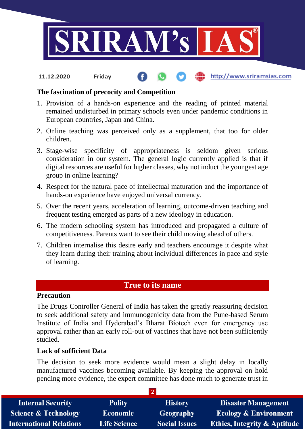

#### http://www.sriramsias.com **11.12.2020 Friday**

### **The fascination of precocity and Competition**

- 1. Provision of a hands-on experience and the reading of printed material remained undisturbed in primary schools even under pandemic conditions in European countries, Japan and China.
- 2. Online teaching was perceived only as a supplement, that too for older children.
- 3. Stage-wise specificity of appropriateness is seldom given serious consideration in our system. The general logic currently applied is that if digital resources are useful for higher classes, why not induct the youngest age group in online learning?
- 4. Respect for the natural pace of intellectual maturation and the importance of hands-on experience have enjoyed universal currency.
- 5. Over the recent years, acceleration of learning, outcome-driven teaching and frequent testing emerged as parts of a new ideology in education.
- 6. The modern schooling system has introduced and propagated a culture of competitiveness. Parents want to see their child moving ahead of others.
- 7. Children internalise this desire early and teachers encourage it despite what they learn during their training about individual differences in pace and style of learning.

# **True to its name**

# **Precaution**

The Drugs Controller General of India has taken the greatly reassuring decision to seek additional safety and immunogenicity data from the Pune-based Serum Institute of India and Hyderabad's Bharat Biotech even for emergency use approval rather than an early roll-out of vaccines that have not been sufficiently studied.

#### **Lack of sufficient Data**

The decision to seek more evidence would mean a slight delay in locally manufactured vaccines becoming available. By keeping the approval on hold pending more evidence, the expert committee has done much to generate trust in

| <b>Internal Security</b>        | <b>Polity</b>       | <b>History</b>       | <b>Disaster Management</b>              |  |  |
|---------------------------------|---------------------|----------------------|-----------------------------------------|--|--|
| <b>Science &amp; Technology</b> | <b>Economic</b>     | Geography            | <b>Ecology &amp; Environment</b>        |  |  |
| <b>International Relations</b>  | <b>Life Science</b> | <b>Social Issues</b> | <b>Ethics, Integrity &amp; Aptitude</b> |  |  |